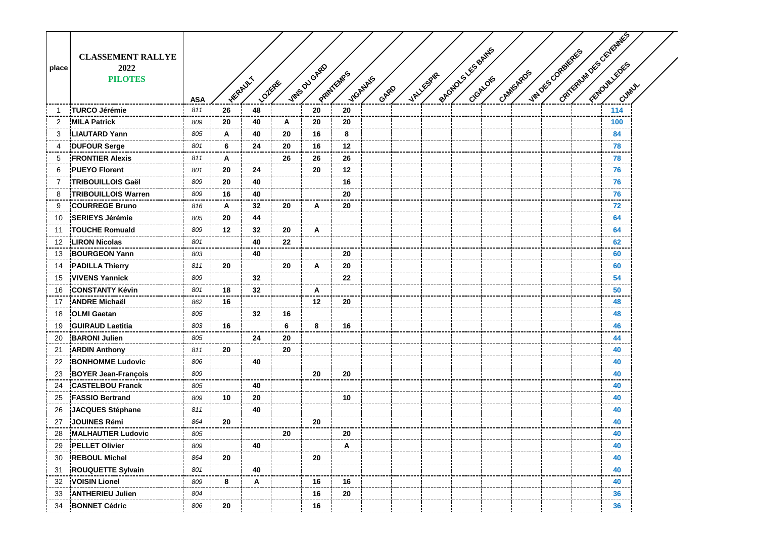|       |                            |            |    |                          |    |               |           |                  |           |                     |          |           |                  | Cartequin Des Cévernes |       |  |
|-------|----------------------------|------------|----|--------------------------|----|---------------|-----------|------------------|-----------|---------------------|----------|-----------|------------------|------------------------|-------|--|
|       | <b>CLASSEMENT RALLYE</b>   |            |    |                          |    |               |           |                  |           |                     |          |           |                  |                        |       |  |
| place | 2022                       |            |    |                          |    |               |           |                  |           |                     |          |           |                  |                        |       |  |
|       | <b>PILOTES</b>             |            |    |                          |    |               |           |                  |           |                     |          |           |                  |                        |       |  |
|       |                            |            |    | <b>HERAULT</b><br>Lozege |    | VINES DU GARD | PRINTENRS | ViGANAIS<br>GARD | VALLESPAR | engtions Les Bantis | CrGALOIS | CAMISAROS | VINDES CORBIERES |                        | Cumux |  |
|       |                            | <b>ASA</b> |    |                          |    |               |           |                  |           |                     |          |           |                  |                        |       |  |
| -1    | <b>TURCO Jérémie</b>       | 811        | 26 | 48                       |    | 20            | 20        |                  |           |                     |          |           |                  |                        | 114   |  |
| 2     | <b>MILA Patrick</b>        | 809        | 20 | 40                       | Α  | 20            | 20        |                  |           |                     |          |           |                  |                        | 100   |  |
| 3     | <b>LIAUTARD Yann</b>       | 805        | A  | 40                       | 20 | 16            | 8         |                  |           |                     |          |           |                  |                        | 84    |  |
| 4     | <b>DUFOUR Serge</b>        | 801        | 6  | 24                       | 20 | 16            | 12        |                  |           |                     |          |           |                  |                        | 78    |  |
| 5     | <b>FRONTIER Alexis</b>     | 811        | Α  |                          | 26 | 26            | 26        |                  |           |                     |          |           |                  |                        | 78    |  |
| 6     | <b>PUEYO Florent</b>       | 801        | 20 | 24                       |    | 20            | 12        |                  |           |                     |          |           |                  |                        | 76    |  |
| 7     | <b>TRIBOUILLOIS Gaël</b>   | 809        | 20 | 40                       |    |               | 16        |                  |           |                     |          |           |                  |                        | 76    |  |
| 8     | <b>TRIBOUILLOIS Warren</b> | 809        | 16 | 40                       |    |               | 20        |                  |           |                     |          |           |                  |                        | 76    |  |
| 9     | <b>COURREGE Bruno</b>      | 816        | A  | 32                       | 20 | A             | 20        |                  |           |                     |          |           |                  |                        | 72    |  |
| 10    | <b>SERIEYS Jérémie</b>     | 805        | 20 | 44                       |    |               |           |                  |           |                     |          |           |                  |                        | 64    |  |
| 11    | <b>TOUCHE Romuald</b>      | 809        | 12 | 32                       | 20 | Α             |           |                  |           |                     |          |           |                  |                        | 64    |  |
| 12    | <b>LIRON Nicolas</b>       | 801        |    | 40                       | 22 |               |           |                  |           |                     |          |           |                  |                        | 62    |  |
| 13    | <b>BOURGEON Yann</b>       | 803        |    | 40                       |    |               | 20        |                  |           |                     |          |           |                  |                        | 60    |  |
| 14    | <b>PADILLA Thierry</b>     | 811        | 20 |                          | 20 | A             | 20        |                  |           |                     |          |           |                  |                        | 60    |  |
| 15    | <b>VIVENS Yannick</b>      | 809        |    | 32                       |    |               | 22        |                  |           |                     |          |           |                  |                        | 54    |  |
| 16    | <b>CONSTANTY Kévin</b>     | 801        | 18 | 32                       |    | A             |           |                  |           |                     |          |           |                  |                        | 50    |  |
| 17    | <b>ANDRE Michaël</b>       | 862        | 16 |                          |    | $12 \,$       | 20        |                  |           |                     |          |           |                  |                        | 48    |  |
| 18    | <b>OLMI Gaetan</b>         | 805        |    | 32                       | 16 |               |           |                  |           |                     |          |           |                  |                        | 48    |  |
| 19    | <b>GUIRAUD Laetitia</b>    | 803        | 16 |                          | 6  | 8             | 16        |                  |           |                     |          |           |                  |                        | 46    |  |
| 20    | <b>BARONI Julien</b>       | 805        |    | 24                       | 20 |               |           |                  |           |                     |          |           |                  |                        | 44    |  |
| 21    | <b>ARDIN Anthony</b>       | 811        | 20 |                          | 20 |               |           |                  |           |                     |          |           |                  |                        | 40    |  |
| 22    | <b>BONHOMME Ludovic</b>    | 806        |    | 40                       |    |               |           |                  |           |                     |          |           |                  |                        | 40    |  |
| 23    | <b>BOYER Jean-François</b> | 809        |    |                          |    | 20            | 20        |                  |           |                     |          |           |                  |                        | 40    |  |
| 24    | <b>CASTELBOU Franck</b>    | 805        |    | 40                       |    |               |           |                  |           |                     |          |           |                  |                        | 40    |  |
| 25    | <b>FASSIO Bertrand</b>     | 809        | 10 | 20                       |    |               | 10        |                  |           |                     |          |           |                  |                        | 40    |  |
| 26    | <b>JACQUES Stéphane</b>    | 811        |    | 40                       |    |               |           |                  |           |                     |          |           |                  |                        | 40    |  |
| 27    | <b>JOUINES Rémi</b>        | 864        | 20 |                          |    | 20            |           |                  |           |                     |          |           |                  |                        | 40    |  |
| 28    | <b>MALHAUTIER Ludovic</b>  | 805        |    |                          | 20 |               | 20        |                  |           |                     |          |           |                  |                        | 40    |  |
| 29    | <b>PELLET Olivier</b>      | 809        |    | 40                       |    |               | Α         |                  |           |                     |          |           |                  |                        | 40    |  |
| 30    | <b>REBOUL Michel</b>       | 864        | 20 |                          |    | 20            |           |                  |           |                     |          |           |                  |                        | 40    |  |
| 31    | <b>ROUQUETTE Sylvain</b>   | 801        |    | 40                       |    |               |           |                  |           |                     |          |           |                  |                        | 40    |  |
| 32    | <b>VOISIN Lionel</b>       | 809        | 8  | Α                        |    | 16            | 16        |                  |           |                     |          |           |                  |                        | 40    |  |
| 33    | <b>ANTHERIEU Julien</b>    | 804        |    |                          |    | 16            | 20        |                  |           |                     |          |           |                  |                        | 36    |  |
| 34    | <b>BONNET Cédric</b>       | 806        | 20 |                          |    | 16            |           |                  |           |                     |          |           |                  |                        | 36    |  |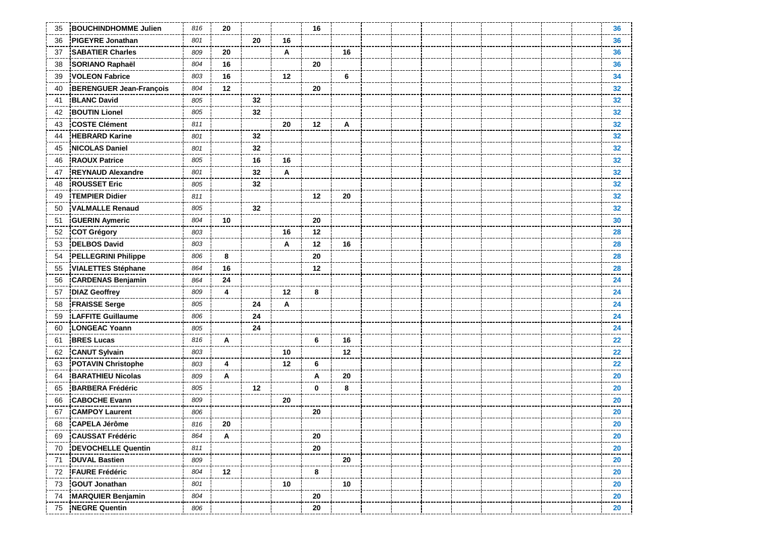| 35 | <b>BOUCHINDHOMME Julien</b>    | 816 | 20      |    |    | 16          |    |  |  |  |  | 36              |
|----|--------------------------------|-----|---------|----|----|-------------|----|--|--|--|--|-----------------|
| 36 | <b>PIGEYRE Jonathan</b>        | 801 |         | 20 | 16 |             |    |  |  |  |  | 36              |
| 37 | <b>SABATIER Charles</b>        | 809 | 20      |    | Α  |             | 16 |  |  |  |  | 36              |
| 38 | SORIANO Raphaël                | 804 | 16      |    |    | 20          |    |  |  |  |  | 36              |
| 39 | <b>VOLEON Fabrice</b>          | 803 | 16      |    | 12 |             | 6  |  |  |  |  | 34              |
| 40 | <b>BERENGUER Jean-François</b> | 804 | 12      |    |    | 20          |    |  |  |  |  | 32              |
| 41 | <b>BLANC David</b>             | 805 |         | 32 |    |             |    |  |  |  |  | 32 <sub>2</sub> |
| 42 | <b>BOUTIN Lionel</b>           | 805 |         | 32 |    |             |    |  |  |  |  | 32              |
| 43 | <b>COSTE Clément</b>           | 811 |         |    | 20 | 12          | A  |  |  |  |  | 32              |
| 44 | <b>HEBRARD Karine</b>          | 801 |         | 32 |    |             |    |  |  |  |  | 32              |
| 45 | <b>NICOLAS Daniel</b>          | 801 |         | 32 |    |             |    |  |  |  |  | 32              |
| 46 | <b>RAOUX Patrice</b>           | 805 |         | 16 | 16 |             |    |  |  |  |  | 32 <sub>2</sub> |
| 47 | <b>REYNAUD Alexandre</b>       | 801 |         | 32 | Α  |             |    |  |  |  |  | 32              |
| 48 | <b>ROUSSET Eric</b>            | 805 |         | 32 |    |             |    |  |  |  |  | 32              |
| 49 | <b>TEMPIER Didier</b>          | 811 |         |    |    | 12          | 20 |  |  |  |  | 32              |
| 50 | <b>VALMALLE Renaud</b>         | 805 |         | 32 |    |             |    |  |  |  |  | 32              |
| 51 | <b>GUERIN Aymeric</b>          | 804 | 10      |    |    | 20          |    |  |  |  |  | 30              |
| 52 | <b>COT Grégory</b>             | 803 |         |    | 16 | 12          |    |  |  |  |  | 28              |
| 53 | <b>DELBOS David</b>            | 803 |         |    | A  | 12          | 16 |  |  |  |  | 28              |
| 54 | <b>PELLEGRINI Philippe</b>     | 806 | 8       |    |    | 20          |    |  |  |  |  | 28              |
| 55 | <b>VIALETTES Stéphane</b>      | 864 | 16      |    |    | 12          |    |  |  |  |  | 28              |
| 56 | <b>CARDENAS Benjamin</b>       | 864 | 24      |    |    |             |    |  |  |  |  | 24              |
| 57 | <b>DIAZ Geoffrey</b>           | 809 | 4       |    | 12 | 8           |    |  |  |  |  | 24              |
| 58 | <b>FRAISSE Serge</b>           | 805 |         | 24 | A  |             |    |  |  |  |  | 24              |
| 59 | <b>LAFFITE Guillaume</b>       | 806 |         | 24 |    |             |    |  |  |  |  | 24              |
| 60 | <b>LONGEAC Yoann</b>           | 805 |         | 24 |    |             |    |  |  |  |  | 24              |
| 61 | <b>BRES Lucas</b>              | 816 | A       |    |    | 6           | 16 |  |  |  |  | 22              |
| 62 | <b>CANUT Sylvain</b>           | 803 |         |    | 10 |             | 12 |  |  |  |  | 22              |
| 63 | <b>POTAVIN Christophe</b>      | 803 | 4       |    | 12 | 6           |    |  |  |  |  | 22              |
| 64 | <b>BARATHIEU Nicolas</b>       | 809 | Α       |    |    | A           | 20 |  |  |  |  | 20              |
| 65 | <b>BARBERA Frédéric</b>        | 805 |         | 12 |    | $\mathbf 0$ | 8  |  |  |  |  | 20              |
| 66 | <b>CABOCHE Evann</b>           | 809 |         |    | 20 |             |    |  |  |  |  | 20              |
| 67 | <b>CAMPOY Laurent</b>          | 806 |         |    |    | 20          |    |  |  |  |  | 20              |
| 68 | <b>CAPELA Jérôme</b>           | 816 | 20      |    |    |             |    |  |  |  |  | 20              |
| 69 | <b>CAUSSAT Frédéric</b>        | 864 | Α       |    |    | 20          |    |  |  |  |  | 20              |
| 70 | <b>DEVOCHELLE Quentin</b>      | 811 |         |    |    | 20          |    |  |  |  |  | 20              |
| 71 | DUVAL Bastien                  | 809 |         |    |    |             | 20 |  |  |  |  | 20              |
| 72 | <b>FAURE Frédéric</b>          | 804 | $12 \,$ |    |    | 8           |    |  |  |  |  | 20              |
| 73 | <b>GOUT Jonathan</b>           | 801 |         |    | 10 |             | 10 |  |  |  |  | 20<br>---       |
| 74 | <b>MARQUIER Benjamin</b>       | 804 |         |    |    | 20          |    |  |  |  |  | 20              |
| 75 | <b>NEGRE Quentin</b>           | 806 |         |    |    | 20          |    |  |  |  |  | 20              |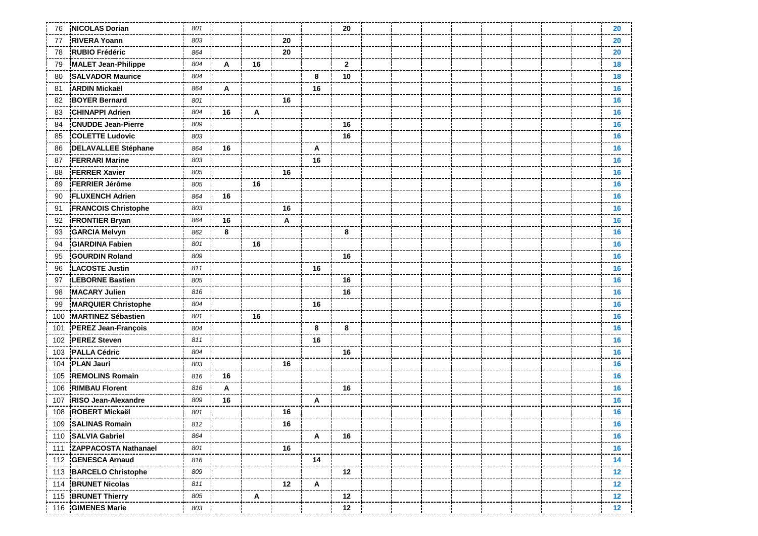| 76  | <b>NICOLAS Dorian</b>       | 801 |    |    |    |    | 20           |  |  |  | 20        |  |
|-----|-----------------------------|-----|----|----|----|----|--------------|--|--|--|-----------|--|
| 77  | <b>RIVERA Yoann</b>         | 803 |    |    | 20 |    |              |  |  |  | 20        |  |
| 78  | <b>RUBIO Frédéric</b>       | 864 |    |    | 20 |    |              |  |  |  | 20        |  |
| 79  | <b>MALET Jean-Philippe</b>  | 804 | Α  | 16 |    |    | $\mathbf{2}$ |  |  |  | 18        |  |
| 80  | <b>SALVADOR Maurice</b>     | 804 |    |    |    | 8  | 10           |  |  |  | 18        |  |
| 81  | <b>ARDIN Mickaël</b>        | 864 | A  |    |    | 16 |              |  |  |  | 16        |  |
| 82  | <b>BOYER Bernard</b>        | 801 |    |    | 16 |    |              |  |  |  | 16        |  |
| 83  | <b>CHINAPPI Adrien</b>      | 804 | 16 | Α  |    |    |              |  |  |  | 16        |  |
| 84  | <b>CNUDDE Jean-Pierre</b>   | 809 |    |    |    |    | 16           |  |  |  | 16        |  |
| 85  | <b>COLETTE Ludovic</b>      | 803 |    |    |    |    | 16           |  |  |  | 16        |  |
| 86  | <b>DELAVALLEE Stéphane</b>  | 864 | 16 |    |    | A  |              |  |  |  | 16        |  |
| 87  | <b>FERRARI Marine</b>       | 803 |    |    |    | 16 |              |  |  |  | 16        |  |
| 88  | <b>FERRER Xavier</b>        | 805 |    |    | 16 |    |              |  |  |  | 16        |  |
| 89  | <b>FERRIER Jérôme</b>       | 805 |    | 16 |    |    |              |  |  |  | 16        |  |
| 90  | <b>FLUXENCH Adrien</b>      | 864 | 16 |    |    |    |              |  |  |  | 16        |  |
| 91  | <b>FRANCOIS Christophe</b>  | 803 |    |    | 16 |    |              |  |  |  | 16        |  |
| 92  | <b>FRONTIER Bryan</b>       | 864 | 16 |    | A  |    |              |  |  |  | 16        |  |
| 93  | <b>GARCIA Melvyn</b>        | 862 | 8  |    |    |    | 8            |  |  |  | 16        |  |
| 94  | <b>GIARDINA Fabien</b>      | 801 |    | 16 |    |    |              |  |  |  | 16        |  |
| 95  | <b>GOURDIN Roland</b>       | 809 |    |    |    |    | 16           |  |  |  | 16        |  |
| 96  | <b>LACOSTE Justin</b>       | 811 |    |    |    | 16 |              |  |  |  | 16        |  |
| 97  | <b>LEBORNE Bastien</b>      | 805 |    |    |    |    | 16           |  |  |  | 16        |  |
| 98  | <b>MACARY Julien</b>        | 816 |    |    |    |    | 16           |  |  |  | 16        |  |
| 99  | <b>MARQUIER Christophe</b>  | 804 |    |    |    | 16 |              |  |  |  | 16        |  |
| 100 | <b>MARTINEZ Sébastien</b>   | 801 |    | 16 |    |    |              |  |  |  | 16        |  |
| 101 | <b>PEREZ Jean-François</b>  | 804 |    |    |    | 8  | 8            |  |  |  | 16        |  |
| 102 | <b>PEREZ Steven</b>         | 811 |    |    |    | 16 |              |  |  |  | 16        |  |
| 103 | <b>PALLA Cédric</b>         | 804 |    |    |    |    | 16           |  |  |  | 16        |  |
| 104 | <b>PLAN Jauri</b>           | 803 |    |    | 16 |    |              |  |  |  | 16        |  |
| 105 | <b>REMOLINS Romain</b>      | 816 | 16 |    |    |    |              |  |  |  | 16        |  |
| 106 | <b>RIMBAU Florent</b>       | 816 | Α  |    |    |    | 16           |  |  |  | 16        |  |
| 107 | RISO Jean-Alexandre         | 809 | 16 |    |    | A  |              |  |  |  | 16        |  |
| 108 | <b>ROBERT Mickaël</b>       | 801 |    |    | 16 |    |              |  |  |  | 16        |  |
| 109 | <b>SALINAS Romain</b>       | 812 |    |    | 16 |    |              |  |  |  | 16        |  |
|     | 110 SALVIA Gabriel          | 864 |    |    |    | A  | 16           |  |  |  | 16        |  |
| 111 | <b>ZAPPACOSTA Nathanael</b> | 801 |    |    | 16 |    |              |  |  |  | 16        |  |
| 112 | <b>GENESCA Arnaud</b>       | 816 |    |    |    | 14 |              |  |  |  | 14        |  |
| 113 | <b>BARCELO Christophe</b>   | 809 |    |    |    |    | 12           |  |  |  | 12        |  |
|     | 114 BRUNET Nicolas          | 811 |    |    | 12 | Α  |              |  |  |  | 12<br>--- |  |
|     | 115 BRUNET Thierry          | 805 |    | Α  |    |    | 12           |  |  |  | 12        |  |
|     | 116 GIMENES Marie           | 803 |    |    |    |    | 12           |  |  |  | 12        |  |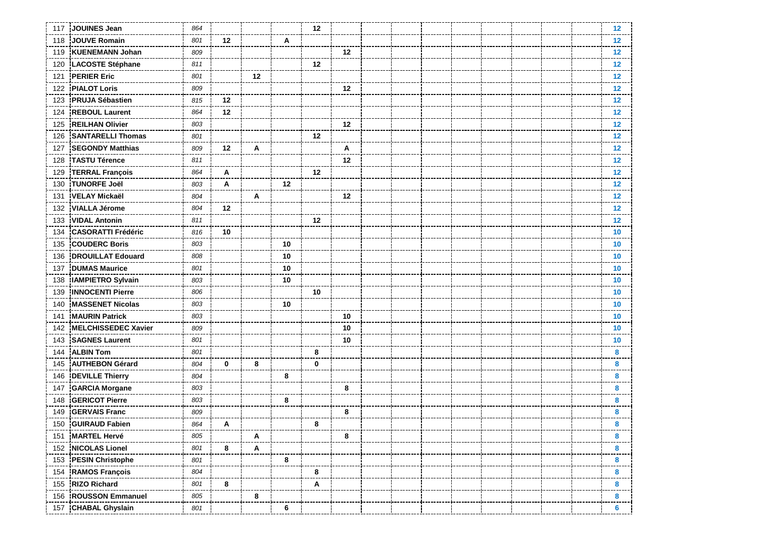| 117 | JOUINES Jean               | 864 |             |    |    | 12 |    |  |  |  |  | 12      |
|-----|----------------------------|-----|-------------|----|----|----|----|--|--|--|--|---------|
| 118 | <b>JOUVE Romain</b>        | 801 | 12          |    | A  |    |    |  |  |  |  | 12      |
| 119 | <b>KUENEMANN Johan</b>     | 809 |             |    |    |    | 12 |  |  |  |  | $12 \,$ |
| 120 | LACOSTE Stéphane           | 811 |             |    |    | 12 |    |  |  |  |  | 12      |
| 121 | <b>PERIER Eric</b>         | 801 |             | 12 |    |    |    |  |  |  |  | 12      |
| 122 | <b>PIALOT Loris</b>        | 809 |             |    |    |    | 12 |  |  |  |  | 12      |
| 123 | <b>PRUJA Sébastien</b>     | 815 | 12          |    |    |    |    |  |  |  |  | 12      |
| 124 | <b>REBOUL Laurent</b>      | 864 | 12          |    |    |    |    |  |  |  |  | 12      |
| 125 | <b>REILHAN Olivier</b>     | 803 |             |    |    |    | 12 |  |  |  |  | 12      |
| 126 | <b>SANTARELLI Thomas</b>   | 801 |             |    |    | 12 |    |  |  |  |  | $12 \,$ |
| 127 | <b>SEGONDY Matthias</b>    | 809 | 12          | Α  |    |    | Α  |  |  |  |  | 12      |
| 128 | <b>TASTU Térence</b>       | 811 |             |    |    |    | 12 |  |  |  |  | $12 \,$ |
| 129 | <b>TERRAL François</b>     | 864 | Α           |    |    | 12 |    |  |  |  |  | 12      |
| 130 | <b>TUNORFE Joël</b>        | 803 | A           |    | 12 |    |    |  |  |  |  | 12      |
| 131 | <b>VELAY Mickaël</b>       | 804 |             | A  |    |    | 12 |  |  |  |  | 12      |
| 132 | <b>VIALLA Jérome</b>       | 804 | 12          |    |    |    |    |  |  |  |  | 12      |
| 133 | <b>VIDAL Antonin</b>       | 811 |             |    |    | 12 |    |  |  |  |  | 12      |
| 134 | <b>CASORATTI Frédéric</b>  | 816 | 10          |    |    |    |    |  |  |  |  | 10      |
| 135 | <b>COUDERC Boris</b>       | 803 |             |    | 10 |    |    |  |  |  |  | 10      |
| 136 | <b>DROUILLAT Edouard</b>   | 808 |             |    | 10 |    |    |  |  |  |  | 10      |
| 137 | <b>DUMAS Maurice</b>       | 801 |             |    | 10 |    |    |  |  |  |  | 10      |
| 138 | <b>IAMPIETRO Sylvain</b>   | 803 |             |    | 10 |    |    |  |  |  |  | 10      |
| 139 | <b>INNOCENTI Pierre</b>    | 806 |             |    |    | 10 |    |  |  |  |  | 10      |
| 140 | <b>MASSENET Nicolas</b>    | 803 |             |    | 10 |    |    |  |  |  |  | 10      |
| 141 | <b>MAURIN Patrick</b>      | 803 |             |    |    |    | 10 |  |  |  |  | 10      |
| 142 | <b>MELCHISSEDEC Xavier</b> | 809 |             |    |    |    | 10 |  |  |  |  | 10      |
| 143 | <b>SAGNES Laurent</b>      | 801 |             |    |    |    | 10 |  |  |  |  | 10      |
| 144 | <b>ALBIN Tom</b>           | 801 |             |    |    | 8  |    |  |  |  |  | 8       |
| 145 | <b>AUTHEBON Gérard</b>     | 804 | $\mathbf 0$ | 8  |    | 0  |    |  |  |  |  | 8       |
| 146 | <b>DEVILLE Thierry</b>     | 804 |             |    | 8  |    |    |  |  |  |  | 8       |
| 147 | <b>GARCIA Morgane</b>      | 803 |             |    |    |    | 8  |  |  |  |  | 8       |
| 148 | <b>GERICOT Pierre</b>      | 803 |             |    | 8  |    |    |  |  |  |  | 8       |
| 149 | <b>GERVAIS Franc</b>       | 809 |             |    |    |    | 8  |  |  |  |  | 8       |
| 150 | <b>GUIRAUD Fabien</b>      | 864 | A           |    |    | 8  |    |  |  |  |  | 8       |
|     | 151 MARTEL Hervé           | 805 |             | Α  |    |    | 8  |  |  |  |  | 8       |
| 152 | <b>NICOLAS Lionel</b>      | 801 | 8           | Α  |    |    |    |  |  |  |  | 8       |
| 153 | <b>PESIN Christophe</b>    | 801 |             |    | 8  |    |    |  |  |  |  | 8       |
| 154 | <b>RAMOS François</b>      | 804 |             |    |    | 8  |    |  |  |  |  | 8       |
| 155 | <b>RIZO Richard</b>        | 801 | 8           |    |    | Α  |    |  |  |  |  | 8       |
| 156 | <b>ROUSSON Emmanuel</b>    | 805 |             | 8  |    |    |    |  |  |  |  | 8       |
|     | 157 CHABAL Ghyslain        | 801 |             |    | 6  |    |    |  |  |  |  | 6       |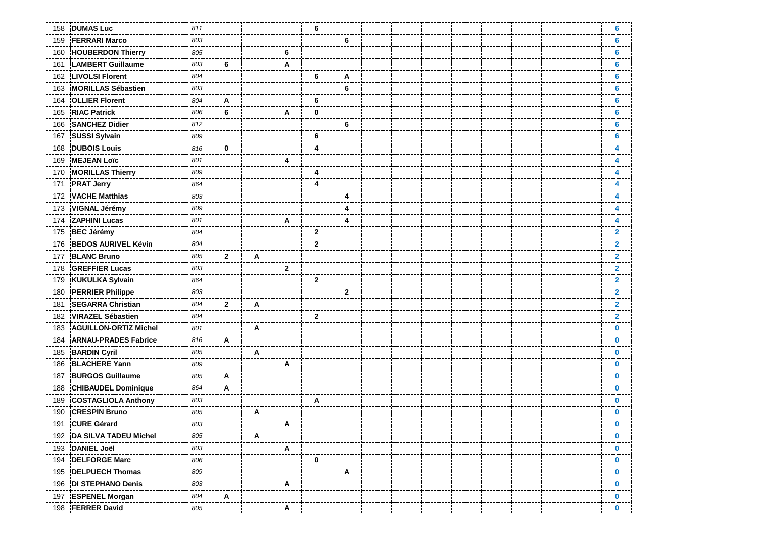| 158 | <b>DUMAS Luc</b>             | 811 |              |   |              | 6            |              |  |  |  |  | 6              |
|-----|------------------------------|-----|--------------|---|--------------|--------------|--------------|--|--|--|--|----------------|
| 159 | <b>FERRARI Marco</b>         | 803 |              |   |              |              | 6            |  |  |  |  | 6              |
| 160 | <b>HOUBERDON Thierry</b>     | 805 |              |   | 6            |              |              |  |  |  |  | 6              |
| 161 | <b>LAMBERT Guillaume</b>     | 803 | 6            |   | Α            |              |              |  |  |  |  | 6              |
| 162 | <b>LIVOLSI Florent</b>       | 804 |              |   |              | 6            | Α            |  |  |  |  | 6              |
| 163 | <b>MORILLAS Sébastien</b>    | 803 |              |   |              |              | 6            |  |  |  |  | 6              |
| 164 | <b>OLLIER Florent</b>        | 804 | Α            |   |              | 6            |              |  |  |  |  | 6              |
| 165 | <b>RIAC Patrick</b>          | 806 | 6            |   | Α            | $\mathbf 0$  |              |  |  |  |  | 6              |
| 166 | <b>SANCHEZ Didier</b>        | 812 |              |   |              |              | 6            |  |  |  |  | 6              |
| 167 | <b>SUSSI Sylvain</b>         | 809 |              |   |              | 6            |              |  |  |  |  | 6              |
| 168 | <b>DUBOIS Louis</b>          | 816 | 0            |   |              | 4            |              |  |  |  |  | 4              |
| 169 | <b>MEJEAN Loïc</b>           | 801 |              |   | 4            |              |              |  |  |  |  | 4              |
| 170 | <b>MORILLAS Thierry</b>      | 809 |              |   |              | 4            |              |  |  |  |  | 4              |
| 171 | <b>PRAT Jerry</b>            | 864 |              |   |              | 4            |              |  |  |  |  | 4              |
| 172 | <b>VACHE Matthias</b>        | 803 |              |   |              |              | 4            |  |  |  |  | 4              |
| 173 | <b>VIGNAL Jérémy</b>         | 809 |              |   |              |              | 4            |  |  |  |  | 4              |
| 174 | <b>ZAPHINI Lucas</b>         | 801 |              |   | Α            |              | 4            |  |  |  |  | 4              |
| 175 | <b>BEC Jérémy</b>            | 804 |              |   |              | $\mathbf{2}$ |              |  |  |  |  | 2              |
| 176 | <b>BEDOS AURIVEL Kévin</b>   | 804 |              |   |              | $\mathbf{2}$ |              |  |  |  |  | $\mathbf{2}$   |
| 177 | <b>BLANC Bruno</b>           | 805 | $\mathbf{2}$ | Α |              |              |              |  |  |  |  | $\mathbf{2}$   |
| 178 | <b>GREFFIER Lucas</b>        | 803 |              |   | $\mathbf{2}$ |              |              |  |  |  |  | $\mathbf{2}$   |
| 179 | <b>KUKULKA Sylvain</b>       | 864 |              |   |              | $\mathbf{2}$ |              |  |  |  |  | $\overline{2}$ |
| 180 | <b>PERRIER Philippe</b>      | 803 |              |   |              |              | $\mathbf{2}$ |  |  |  |  | $\mathbf{2}$   |
| 181 | <b>SEGARRA Christian</b>     | 804 | $\mathbf{2}$ | A |              |              |              |  |  |  |  | $\mathbf{2}$   |
| 182 | <b>VIRAZEL Sébastien</b>     | 804 |              |   |              | $\mathbf{2}$ |              |  |  |  |  | $\mathbf{2}$   |
| 183 | <b>AGUILLON-ORTIZ Michel</b> | 801 |              | Α |              |              |              |  |  |  |  | $\bf{0}$       |
| 184 | <b>ARNAU-PRADES Fabrice</b>  | 816 | Α            |   |              |              |              |  |  |  |  | $\bf{0}$       |
| 185 | <b>BARDIN Cyril</b>          | 805 |              | A |              |              |              |  |  |  |  | 0              |
| 186 | <b>BLACHERE Yann</b>         | 809 |              |   | A            |              |              |  |  |  |  | $\bf{0}$       |
| 187 | <b>BURGOS Guillaume</b>      | 805 | Α            |   |              |              |              |  |  |  |  | 0              |
| 188 | <b>CHIBAUDEL Dominique</b>   | 864 | Α            |   |              |              |              |  |  |  |  | $\bf{0}$       |
| 189 | <b>COSTAGLIOLA Anthony</b>   | 803 |              |   |              | A            |              |  |  |  |  | 0              |
| 190 | <b>CRESPIN Bruno</b>         | 805 |              | Α |              |              |              |  |  |  |  | 0              |
| 191 | <b>CURE Gérard</b>           | 803 |              |   | A            |              |              |  |  |  |  | 0              |
|     | 192 DA SILVA TADEU Michel    | 805 |              | Α |              |              |              |  |  |  |  | $\mathbf 0$    |
|     | 193 DANIEL Joël              | 803 |              |   | A            |              |              |  |  |  |  | $\mathbf 0$    |
|     | 194 DELFORGE Marc            | 806 |              |   |              | 0            |              |  |  |  |  | 0              |
|     | 195 <b>DELPUECH Thomas</b>   | 809 |              |   |              |              | Α            |  |  |  |  | 0              |
|     | 196 DI STEPHANO Denis        | 803 |              |   | Α            |              |              |  |  |  |  | $\mathbf 0$    |
|     | 197 ESPENEL Morgan           | 804 | Α            |   |              |              |              |  |  |  |  | $\mathbf 0$    |
|     | 198 FERRER David             | 805 |              |   | A            |              |              |  |  |  |  | 0              |